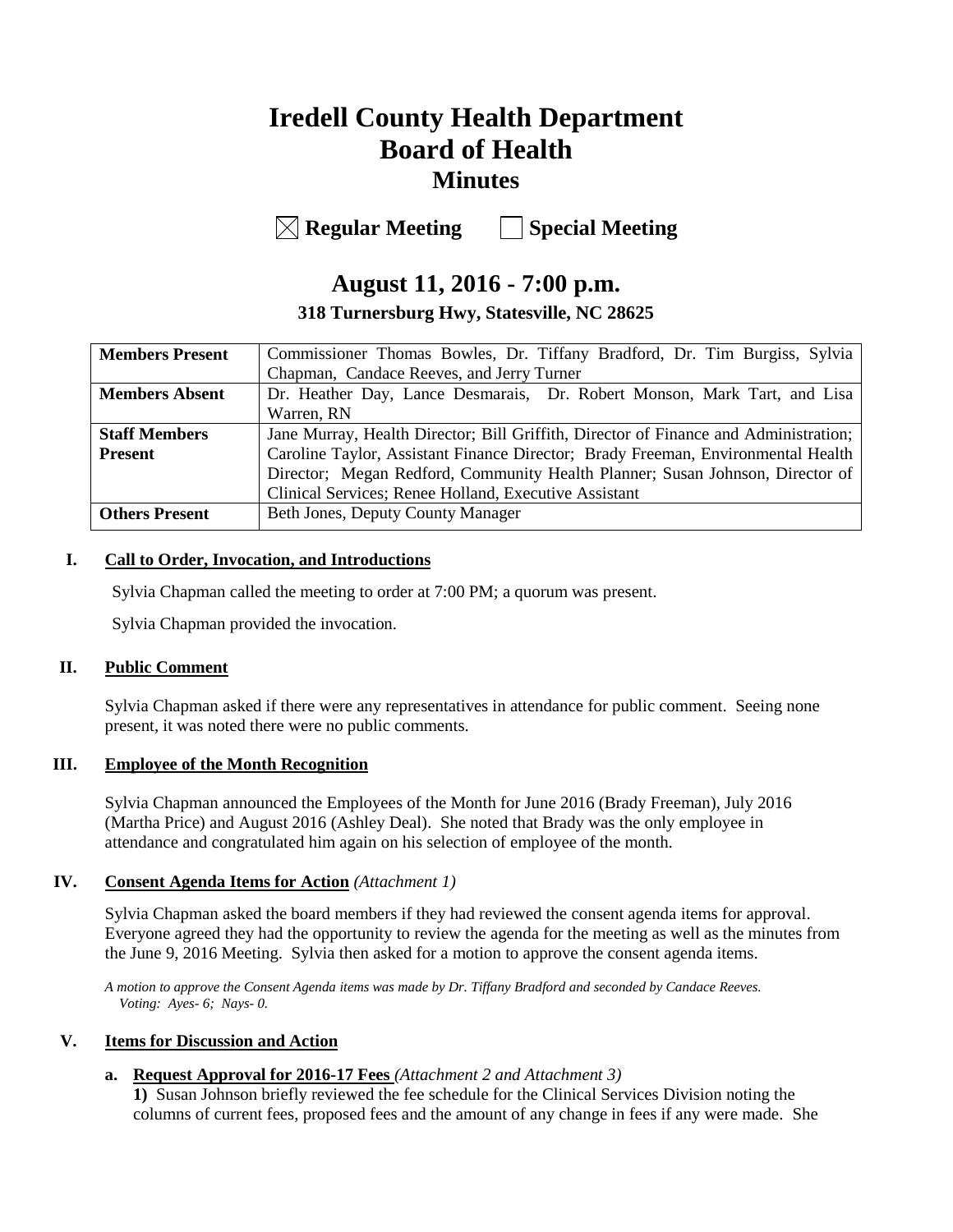# **Iredell County Health Department Board of Health Minutes**

**Regular Meeting Special Meeting**

# **August 11, 2016 - 7:00 p.m.**

**318 Turnersburg Hwy, Statesville, NC 28625**

| <b>Members Present</b> | Commissioner Thomas Bowles, Dr. Tiffany Bradford, Dr. Tim Burgiss, Sylvia            |  |  |
|------------------------|--------------------------------------------------------------------------------------|--|--|
|                        | Chapman, Candace Reeves, and Jerry Turner                                            |  |  |
| <b>Members Absent</b>  | Dr. Heather Day, Lance Desmarais, Dr. Robert Monson, Mark Tart, and Lisa             |  |  |
|                        | Warren, RN                                                                           |  |  |
| <b>Staff Members</b>   | Jane Murray, Health Director; Bill Griffith, Director of Finance and Administration; |  |  |
| <b>Present</b>         | Caroline Taylor, Assistant Finance Director; Brady Freeman, Environmental Health     |  |  |
|                        | Director; Megan Redford, Community Health Planner; Susan Johnson, Director of        |  |  |
|                        | Clinical Services; Renee Holland, Executive Assistant                                |  |  |
| <b>Others Present</b>  | Beth Jones, Deputy County Manager                                                    |  |  |
|                        |                                                                                      |  |  |

### **I. Call to Order, Invocation, and Introductions**

Sylvia Chapman called the meeting to order at 7:00 PM; a quorum was present.

Sylvia Chapman provided the invocation.

#### **II. Public Comment**

Sylvia Chapman asked if there were any representatives in attendance for public comment. Seeing none present, it was noted there were no public comments.

#### **III. Employee of the Month Recognition**

Sylvia Chapman announced the Employees of the Month for June 2016 (Brady Freeman), July 2016 (Martha Price) and August 2016 (Ashley Deal). She noted that Brady was the only employee in attendance and congratulated him again on his selection of employee of the month.

#### **IV. Consent Agenda Items for Action** *(Attachment 1)*

Sylvia Chapman asked the board members if they had reviewed the consent agenda items for approval. Everyone agreed they had the opportunity to review the agenda for the meeting as well as the minutes from the June 9, 2016 Meeting. Sylvia then asked for a motion to approve the consent agenda items.

*A motion to approve the Consent Agenda items was made by Dr. Tiffany Bradford and seconded by Candace Reeves. Voting: Ayes- 6; Nays- 0.*

#### **V. Items for Discussion and Action**

## **a. Request Approval for 2016-17 Fees** *(Attachment 2 and Attachment 3)*

**1)** Susan Johnson briefly reviewed the fee schedule for the Clinical Services Division noting the columns of current fees, proposed fees and the amount of any change in fees if any were made. She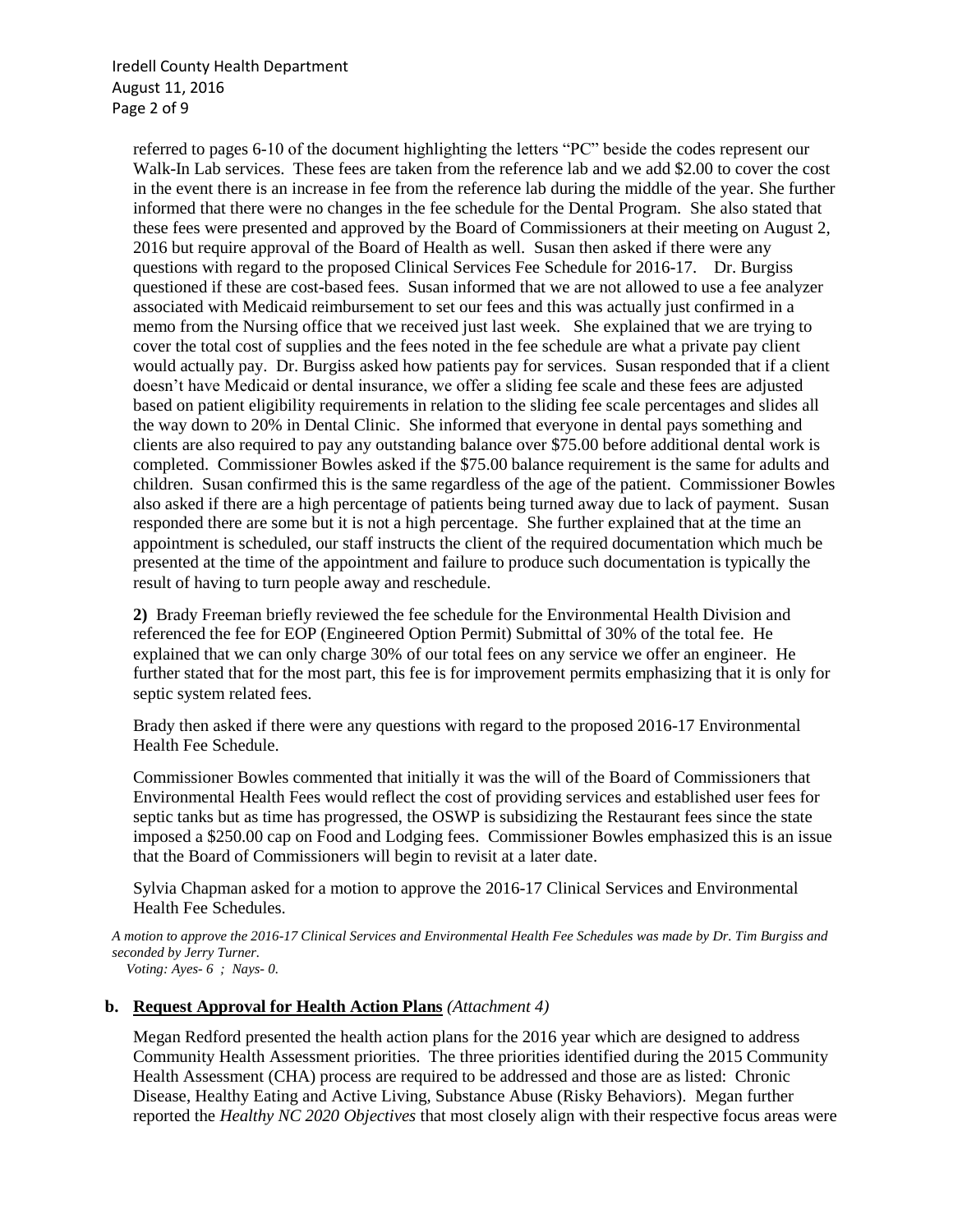Iredell County Health Department August 11, 2016 Page 2 of 9

referred to pages 6-10 of the document highlighting the letters "PC" beside the codes represent our Walk-In Lab services. These fees are taken from the reference lab and we add \$2.00 to cover the cost in the event there is an increase in fee from the reference lab during the middle of the year. She further informed that there were no changes in the fee schedule for the Dental Program. She also stated that these fees were presented and approved by the Board of Commissioners at their meeting on August 2, 2016 but require approval of the Board of Health as well. Susan then asked if there were any questions with regard to the proposed Clinical Services Fee Schedule for 2016-17. Dr. Burgiss questioned if these are cost-based fees. Susan informed that we are not allowed to use a fee analyzer associated with Medicaid reimbursement to set our fees and this was actually just confirmed in a memo from the Nursing office that we received just last week. She explained that we are trying to cover the total cost of supplies and the fees noted in the fee schedule are what a private pay client would actually pay. Dr. Burgiss asked how patients pay for services. Susan responded that if a client doesn't have Medicaid or dental insurance, we offer a sliding fee scale and these fees are adjusted based on patient eligibility requirements in relation to the sliding fee scale percentages and slides all the way down to 20% in Dental Clinic. She informed that everyone in dental pays something and clients are also required to pay any outstanding balance over \$75.00 before additional dental work is completed. Commissioner Bowles asked if the \$75.00 balance requirement is the same for adults and children. Susan confirmed this is the same regardless of the age of the patient. Commissioner Bowles also asked if there are a high percentage of patients being turned away due to lack of payment. Susan responded there are some but it is not a high percentage. She further explained that at the time an appointment is scheduled, our staff instructs the client of the required documentation which much be presented at the time of the appointment and failure to produce such documentation is typically the result of having to turn people away and reschedule.

**2)** Brady Freeman briefly reviewed the fee schedule for the Environmental Health Division and referenced the fee for EOP (Engineered Option Permit) Submittal of 30% of the total fee. He explained that we can only charge 30% of our total fees on any service we offer an engineer. He further stated that for the most part, this fee is for improvement permits emphasizing that it is only for septic system related fees.

Brady then asked if there were any questions with regard to the proposed 2016-17 Environmental Health Fee Schedule.

Commissioner Bowles commented that initially it was the will of the Board of Commissioners that Environmental Health Fees would reflect the cost of providing services and established user fees for septic tanks but as time has progressed, the OSWP is subsidizing the Restaurant fees since the state imposed a \$250.00 cap on Food and Lodging fees. Commissioner Bowles emphasized this is an issue that the Board of Commissioners will begin to revisit at a later date.

Sylvia Chapman asked for a motion to approve the 2016-17 Clinical Services and Environmental Health Fee Schedules.

*A motion to approve the 2016-17 Clinical Services and Environmental Health Fee Schedules was made by Dr. Tim Burgiss and seconded by Jerry Turner. Voting: Ayes- 6 ; Nays- 0.*

#### **b. Request Approval for Health Action Plans** *(Attachment 4)*

Megan Redford presented the health action plans for the 2016 year which are designed to address Community Health Assessment priorities. The three priorities identified during the 2015 Community Health Assessment (CHA) process are required to be addressed and those are as listed: Chronic Disease, Healthy Eating and Active Living, Substance Abuse (Risky Behaviors). Megan further reported the *Healthy NC 2020 Objectives* that most closely align with their respective focus areas were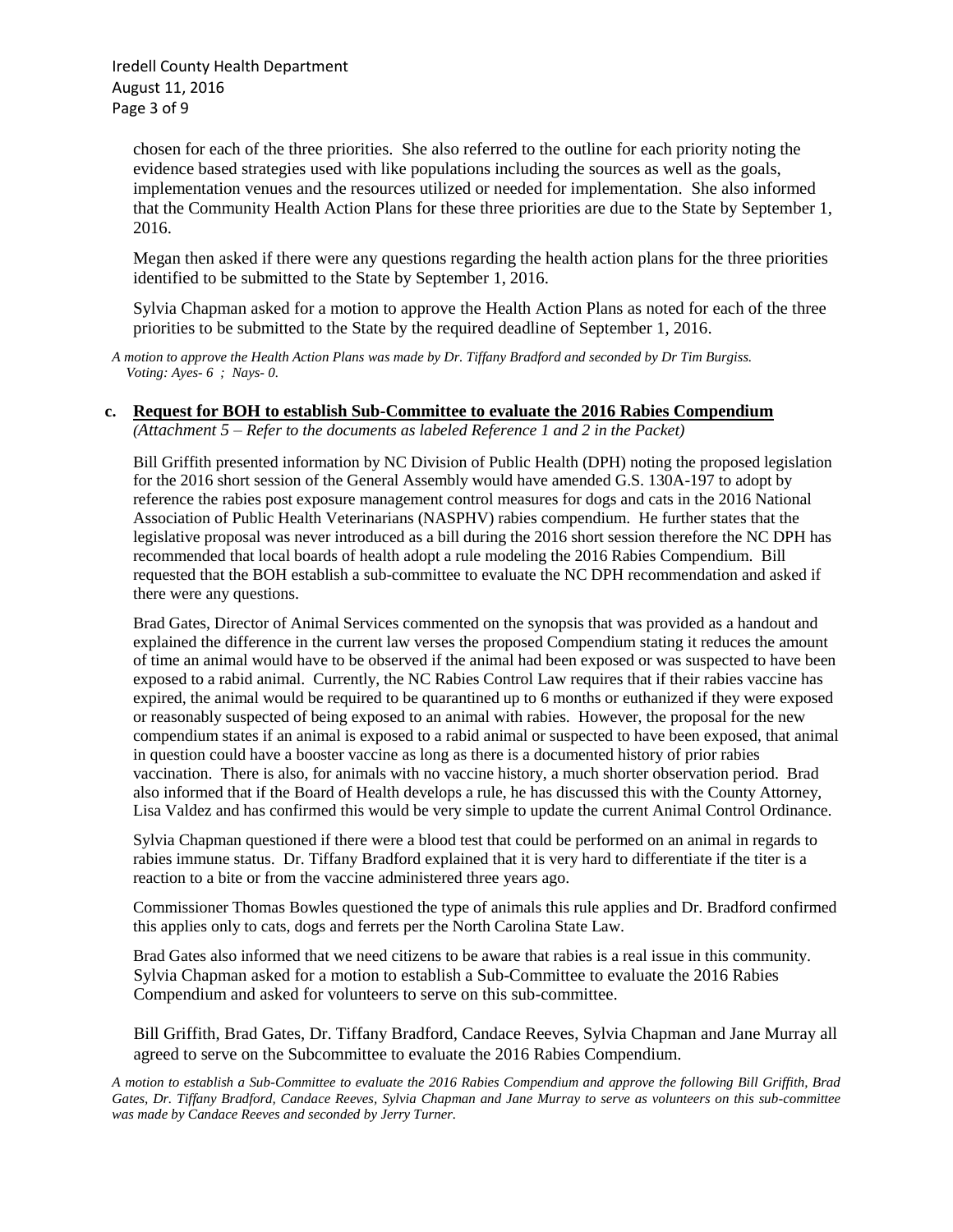Iredell County Health Department August 11, 2016 Page 3 of 9

chosen for each of the three priorities. She also referred to the outline for each priority noting the evidence based strategies used with like populations including the sources as well as the goals, implementation venues and the resources utilized or needed for implementation. She also informed that the Community Health Action Plans for these three priorities are due to the State by September 1, 2016.

Megan then asked if there were any questions regarding the health action plans for the three priorities identified to be submitted to the State by September 1, 2016.

Sylvia Chapman asked for a motion to approve the Health Action Plans as noted for each of the three priorities to be submitted to the State by the required deadline of September 1, 2016.

*A motion to approve the Health Action Plans was made by Dr. Tiffany Bradford and seconded by Dr Tim Burgiss. Voting: Ayes- 6 ; Nays- 0.*

# **c. Request for BOH to establish Sub-Committee to evaluate the 2016 Rabies Compendium**

*(Attachment 5 – Refer to the documents as labeled Reference 1 and 2 in the Packet)*

Bill Griffith presented information by NC Division of Public Health (DPH) noting the proposed legislation for the 2016 short session of the General Assembly would have amended G.S. 130A-197 to adopt by reference the rabies post exposure management control measures for dogs and cats in the 2016 National Association of Public Health Veterinarians (NASPHV) rabies compendium. He further states that the legislative proposal was never introduced as a bill during the 2016 short session therefore the NC DPH has recommended that local boards of health adopt a rule modeling the 2016 Rabies Compendium. Bill requested that the BOH establish a sub-committee to evaluate the NC DPH recommendation and asked if there were any questions.

Brad Gates, Director of Animal Services commented on the synopsis that was provided as a handout and explained the difference in the current law verses the proposed Compendium stating it reduces the amount of time an animal would have to be observed if the animal had been exposed or was suspected to have been exposed to a rabid animal. Currently, the NC Rabies Control Law requires that if their rabies vaccine has expired, the animal would be required to be quarantined up to 6 months or euthanized if they were exposed or reasonably suspected of being exposed to an animal with rabies. However, the proposal for the new compendium states if an animal is exposed to a rabid animal or suspected to have been exposed, that animal in question could have a booster vaccine as long as there is a documented history of prior rabies vaccination. There is also, for animals with no vaccine history, a much shorter observation period. Brad also informed that if the Board of Health develops a rule, he has discussed this with the County Attorney, Lisa Valdez and has confirmed this would be very simple to update the current Animal Control Ordinance.

Sylvia Chapman questioned if there were a blood test that could be performed on an animal in regards to rabies immune status. Dr. Tiffany Bradford explained that it is very hard to differentiate if the titer is a reaction to a bite or from the vaccine administered three years ago.

Commissioner Thomas Bowles questioned the type of animals this rule applies and Dr. Bradford confirmed this applies only to cats, dogs and ferrets per the North Carolina State Law.

Brad Gates also informed that we need citizens to be aware that rabies is a real issue in this community. Sylvia Chapman asked for a motion to establish a Sub-Committee to evaluate the 2016 Rabies Compendium and asked for volunteers to serve on this sub-committee.

 Bill Griffith, Brad Gates, Dr. Tiffany Bradford, Candace Reeves, Sylvia Chapman and Jane Murray all agreed to serve on the Subcommittee to evaluate the 2016 Rabies Compendium.

*A motion to establish a Sub-Committee to evaluate the 2016 Rabies Compendium and approve the following Bill Griffith, Brad Gates, Dr. Tiffany Bradford, Candace Reeves, Sylvia Chapman and Jane Murray to serve as volunteers on this sub-committee was made by Candace Reeves and seconded by Jerry Turner.*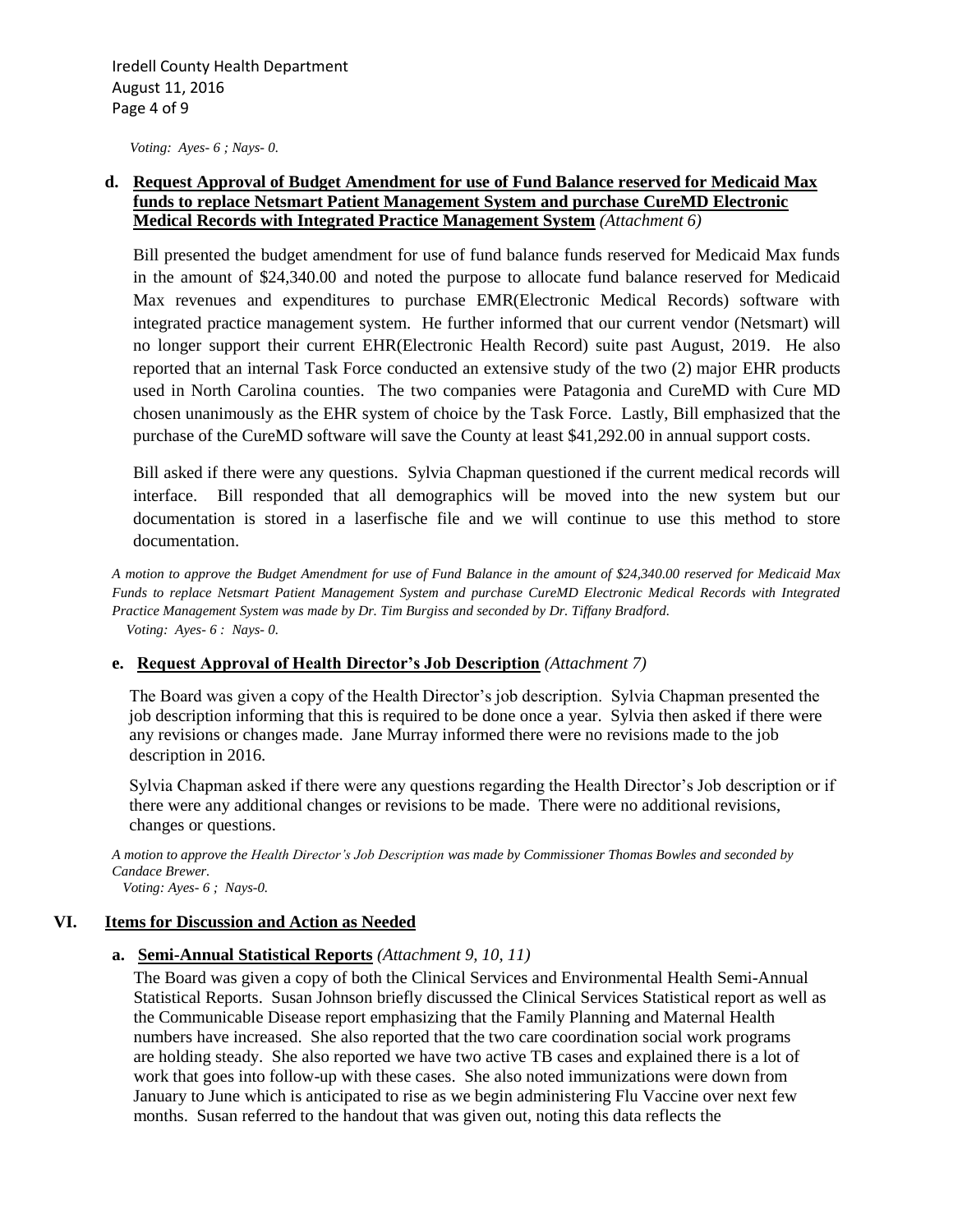*Voting: Ayes- 6 ; Nays- 0.*

#### **d. Request Approval of Budget Amendment for use of Fund Balance reserved for Medicaid Max funds to replace Netsmart Patient Management System and purchase CureMD Electronic Medical Records with Integrated Practice Management System** *(Attachment 6)*

Bill presented the budget amendment for use of fund balance funds reserved for Medicaid Max funds in the amount of \$24,340.00 and noted the purpose to allocate fund balance reserved for Medicaid Max revenues and expenditures to purchase EMR(Electronic Medical Records) software with integrated practice management system. He further informed that our current vendor (Netsmart) will no longer support their current EHR(Electronic Health Record) suite past August, 2019. He also reported that an internal Task Force conducted an extensive study of the two (2) major EHR products used in North Carolina counties. The two companies were Patagonia and CureMD with Cure MD chosen unanimously as the EHR system of choice by the Task Force. Lastly, Bill emphasized that the purchase of the CureMD software will save the County at least \$41,292.00 in annual support costs.

Bill asked if there were any questions. Sylvia Chapman questioned if the current medical records will interface. Bill responded that all demographics will be moved into the new system but our documentation is stored in a laserfische file and we will continue to use this method to store documentation.

*A motion to approve the Budget Amendment for use of Fund Balance in the amount of \$24,340.00 reserved for Medicaid Max Funds to replace Netsmart Patient Management System and purchase CureMD Electronic Medical Records with Integrated Practice Management System was made by Dr. Tim Burgiss and seconded by Dr. Tiffany Bradford. Voting: Ayes- 6 : Nays- 0.*

#### **e. Request Approval of Health Director's Job Description** *(Attachment 7)*

 The Board was given a copy of the Health Director's job description. Sylvia Chapman presented the job description informing that this is required to be done once a year. Sylvia then asked if there were any revisions or changes made. Jane Murray informed there were no revisions made to the job description in 2016.

 Sylvia Chapman asked if there were any questions regarding the Health Director's Job description or if there were any additional changes or revisions to be made. There were no additional revisions, changes or questions.

*A motion to approve the Health Director's Job Description was made by Commissioner Thomas Bowles and seconded by Candace Brewer.*

 *Voting: Ayes- 6 ; Nays-0.*

#### **VI. Items for Discussion and Action as Needed**

#### **a. Semi-Annual Statistical Reports** *(Attachment 9, 10, 11)*

 The Board was given a copy of both the Clinical Services and Environmental Health Semi-Annual Statistical Reports. Susan Johnson briefly discussed the Clinical Services Statistical report as well as the Communicable Disease report emphasizing that the Family Planning and Maternal Health numbers have increased. She also reported that the two care coordination social work programs are holding steady. She also reported we have two active TB cases and explained there is a lot of work that goes into follow-up with these cases. She also noted immunizations were down from January to June which is anticipated to rise as we begin administering Flu Vaccine over next few months. Susan referred to the handout that was given out, noting this data reflects the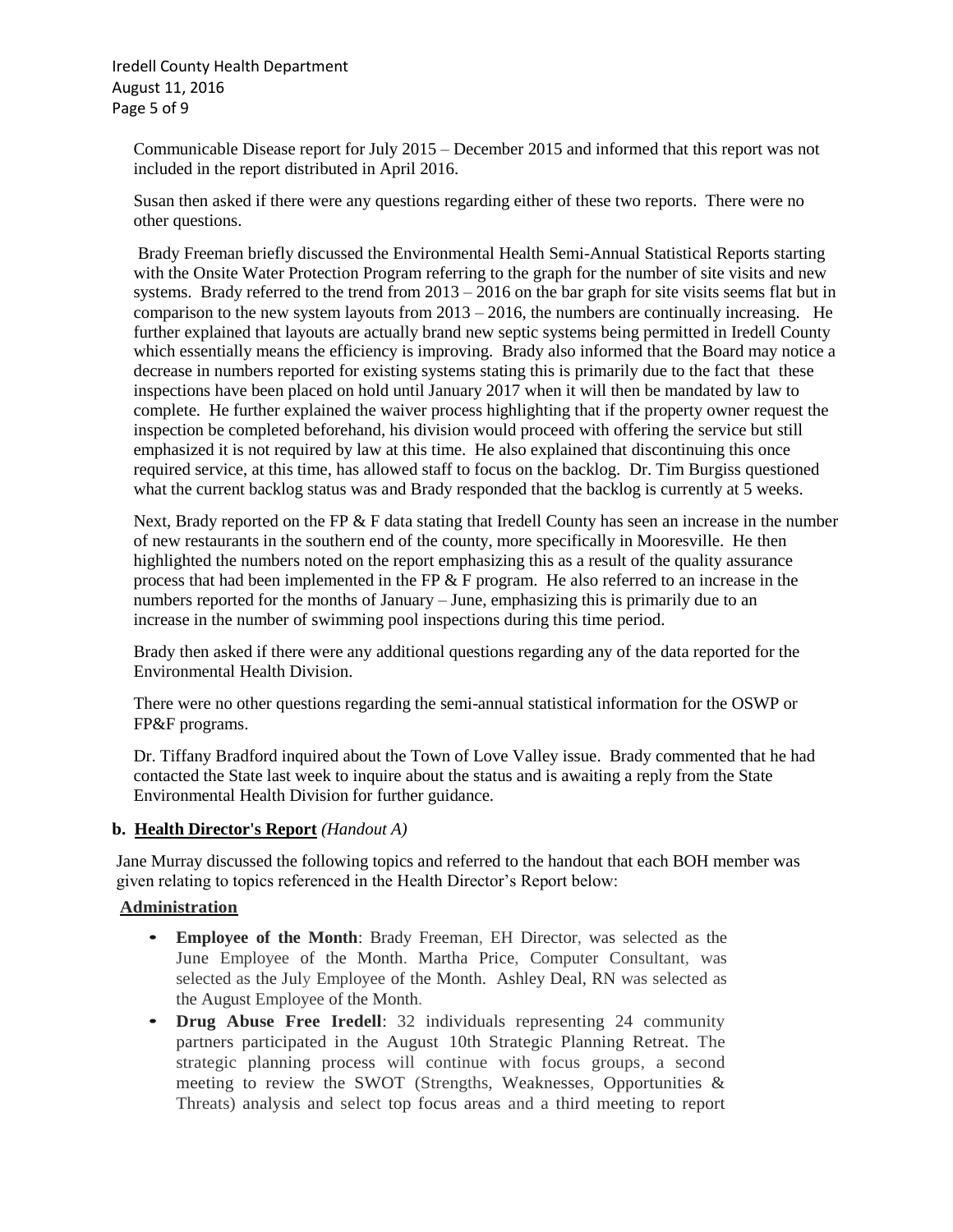Iredell County Health Department August 11, 2016 Page 5 of 9

 Communicable Disease report for July 2015 – December 2015 and informed that this report was not included in the report distributed in April 2016.

 Susan then asked if there were any questions regarding either of these two reports. There were no other questions.

 Brady Freeman briefly discussed the Environmental Health Semi-Annual Statistical Reports starting with the Onsite Water Protection Program referring to the graph for the number of site visits and new systems. Brady referred to the trend from  $2013 - 2016$  on the bar graph for site visits seems flat but in comparison to the new system layouts from  $2013 - 2016$ , the numbers are continually increasing. He further explained that layouts are actually brand new septic systems being permitted in Iredell County which essentially means the efficiency is improving. Brady also informed that the Board may notice a decrease in numbers reported for existing systems stating this is primarily due to the fact that these inspections have been placed on hold until January 2017 when it will then be mandated by law to complete. He further explained the waiver process highlighting that if the property owner request the inspection be completed beforehand, his division would proceed with offering the service but still emphasized it is not required by law at this time. He also explained that discontinuing this once required service, at this time, has allowed staff to focus on the backlog. Dr. Tim Burgiss questioned what the current backlog status was and Brady responded that the backlog is currently at 5 weeks.

Next, Brady reported on the FP  $&$  F data stating that Iredell County has seen an increase in the number of new restaurants in the southern end of the county, more specifically in Mooresville. He then highlighted the numbers noted on the report emphasizing this as a result of the quality assurance process that had been implemented in the FP  $\&$  F program. He also referred to an increase in the numbers reported for the months of January – June, emphasizing this is primarily due to an increase in the number of swimming pool inspections during this time period.

 Brady then asked if there were any additional questions regarding any of the data reported for the Environmental Health Division.

 There were no other questions regarding the semi-annual statistical information for the OSWP or FP&F programs.

 Dr. Tiffany Bradford inquired about the Town of Love Valley issue. Brady commented that he had contacted the State last week to inquire about the status and is awaiting a reply from the State Environmental Health Division for further guidance.

#### **b. Health Director's Report** *(Handout A)*

Jane Murray discussed the following topics and referred to the handout that each BOH member was given relating to topics referenced in the Health Director's Report below:

#### **Administration**

- **Employee of the Month**: Brady Freeman, EH Director, was selected as the June Employee of the Month. Martha Price, Computer Consultant, was selected as the July Employee of the Month. Ashley Deal, RN was selected as the August Employee of the Month.
- **Drug Abuse Free Iredell**: 32 individuals representing 24 community partners participated in the August 10th Strategic Planning Retreat. The strategic planning process will continue with focus groups, a second meeting to review the SWOT (Strengths, Weaknesses, Opportunities & Threats) analysis and select top focus areas and a third meeting to report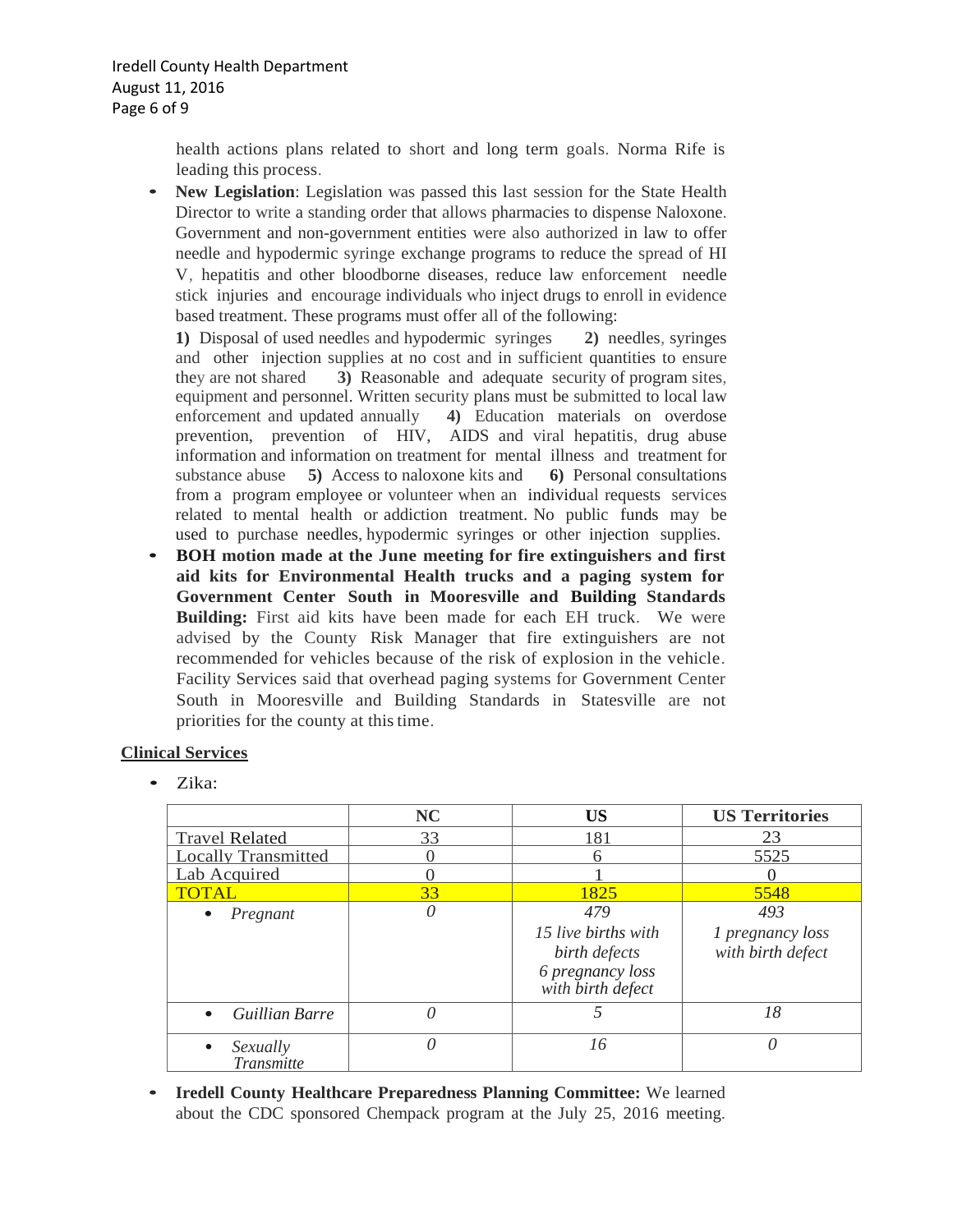health actions plans related to short and long term goals. Norma Rife is leading this process.

• **New Legislation**: Legislation was passed this last session for the State Health Director to write a standing order that allows pharmacies to dispense Naloxone. Government and non-government entities were also authorized in law to offer needle and hypodermic syringe exchange programs to reduce the spread of HI V, hepatitis and other bloodborne diseases, reduce law enforcement needle stick injuries and encourage individuals who inject drugs to enroll in evidence based treatment. These programs must offer all of the following:

**1)** Disposal of used needles and hypodermic syringes **2)** needles, syringes and other injection supplies at no cost and in sufficient quantities to ensure they are not shared **3)** Reasonable and adequate security of program sites, equipment and personnel. Written security plans must be submitted to local law enforcement and updated annually **4)** Education materials on overdose prevention, prevention of HIV, AIDS and viral hepatitis, drug abuse information and information on treatment for mental illness and treatment for substance abuse **5)** Access to naloxone kits and **6)** Personal consultations from a program employee or volunteer when an individual requests services related to mental health or addiction treatment. No public funds may be used to purchase needles, hypodermic syringes or other injection supplies.

• **BOH motion made at the June meeting for fire extinguishers and first aid kits for Environmental Health trucks and a paging system for Government Center South in Mooresville and Building Standards Building:** First aid kits have been made for each EH truck. We were advised by the County Risk Manager that fire extinguishers are not recommended for vehicles because of the risk of explosion in the vehicle. Facility Services said that overhead paging systems for Government Center South in Mooresville and Building Standards in Statesville are not priorities for the county at thistime.

## **Clinical Services**

• Zika:

|                            | <b>NC</b> | <b>US</b>                                                                     | <b>US Territories</b>                 |
|----------------------------|-----------|-------------------------------------------------------------------------------|---------------------------------------|
| <b>Travel Related</b>      | 33        | 181                                                                           | 23                                    |
| <b>Locally Transmitted</b> |           | 6                                                                             | 5525                                  |
| Lab Acquired               |           |                                                                               |                                       |
| <b>TOTAL</b>               | 33        | 1825                                                                          | 5548                                  |
| Pregnant                   | 0         | 479                                                                           | 493                                   |
|                            |           | 15 live births with<br>birth defects<br>6 pregnancy loss<br>with birth defect | 1 pregnancy loss<br>with birth defect |
| <b>Guillian Barre</b>      | 0         |                                                                               | 18                                    |
| Sexually<br>Transmitte     | 0         | 16                                                                            | $\theta$                              |

*d* • **Iredell County Healthcare Preparedness Planning Committee:** We learned about the CDC sponsored Chempack program at the July 25, 2016 meeting.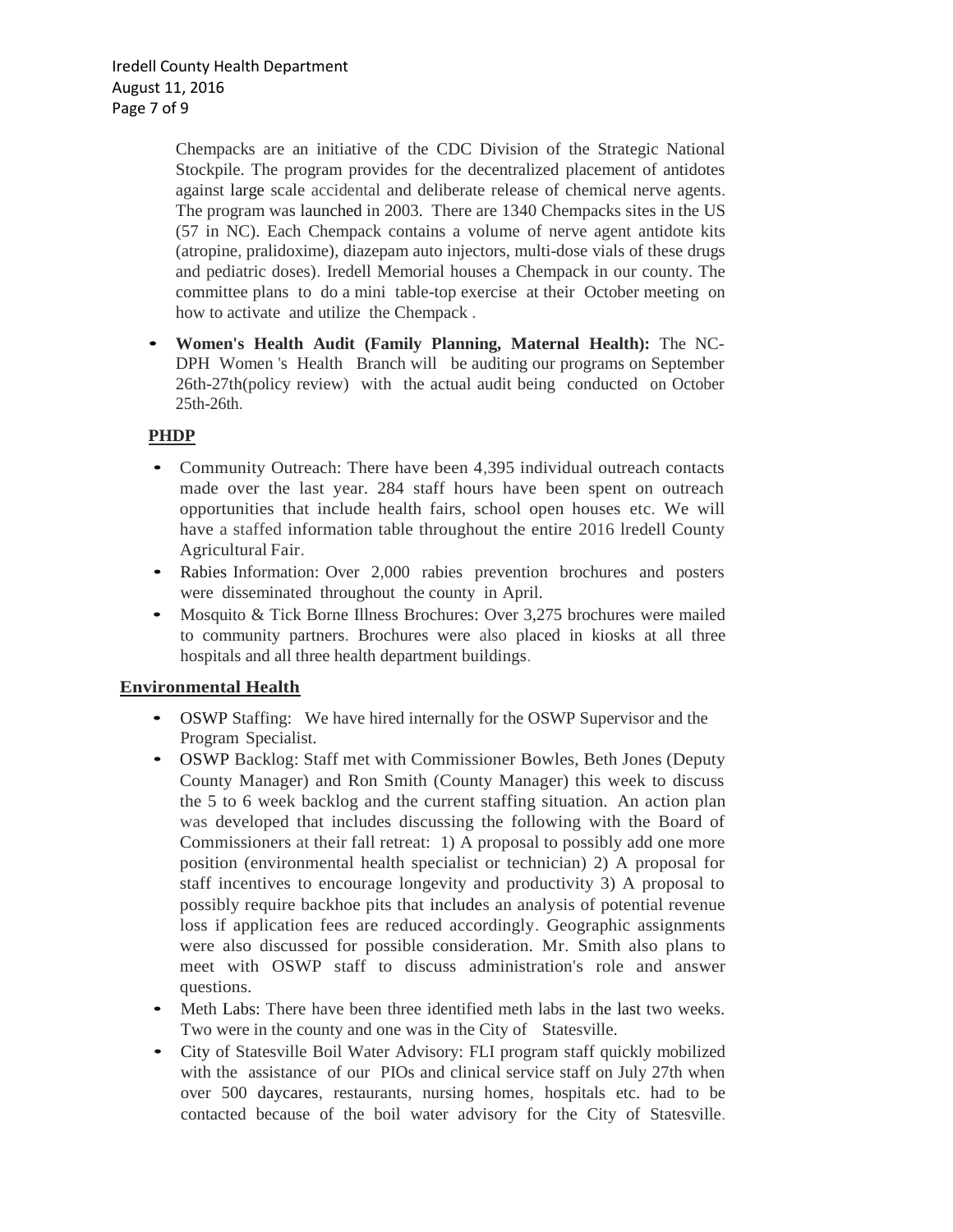Chempacks are an initiative of the CDC Division of the Strategic National Stockpile. The program provides for the decentralized placement of antidotes against large scale accidental and deliberate release of chemical nerve agents. The program was launched in 2003. There are 1340 Chempacks sites in the US (57 in NC). Each Chempack contains a volume of nerve agent antidote kits (atropine, pralidoxime), diazepam auto injectors, multi-dose vials of these drugs and pediatric doses). Iredell Memorial houses a Chempack in our county. The committee plans to do a mini table-top exercise at their October meeting on how to activate and utilize the Chempack .

• **Women's Health Audit (Family Planning, Maternal Health):** The NC-DPH Women 's Health Branch will be auditing our programs on September 26th-27th(policy review) with the actual audit being conducted on October 25th-26th.

## **PHDP**

- Community Outreach: There have been 4,395 individual outreach contacts made over the last year. 284 staff hours have been spent on outreach opportunities that include health fairs, school open houses etc. We will have a staffed information table throughout the entire 2016 lredell County Agricultural Fair.
- Rabies Information: Over 2,000 rabies prevention brochures and posters were disseminated throughout the county in April.
- Mosquito & Tick Borne Illness Brochures: Over 3,275 brochures were mailed to community partners. Brochures were also placed in kiosks at all three hospitals and all three health department buildings.

## **Environmental Health**

- OSWP Staffing: We have hired internally for the OSWP Supervisor and the Program Specialist.
- OSWP Backlog: Staff met with Commissioner Bowles, Beth Jones (Deputy County Manager) and Ron Smith (County Manager) this week to discuss the 5 to 6 week backlog and the current staffing situation. An action plan was developed that includes discussing the following with the Board of Commissioners at their fall retreat: 1) A proposal to possibly add one more position (environmental health specialist or technician) 2) A proposal for staff incentives to encourage longevity and productivity 3) A proposal to possibly require backhoe pits that includes an analysis of potential revenue loss if application fees are reduced accordingly. Geographic assignments were also discussed for possible consideration. Mr. Smith also plans to meet with OSWP staff to discuss administration's role and answer questions.
- Meth Labs: There have been three identified meth labs in the last two weeks. Two were in the county and one was in the City of Statesville.
- City of Statesville Boil Water Advisory: FLI program staff quickly mobilized with the assistance of our PIOs and clinical service staff on July 27th when over 500 daycares, restaurants, nursing homes, hospitals etc. had to be contacted because of the boil water advisory for the City of Statesville.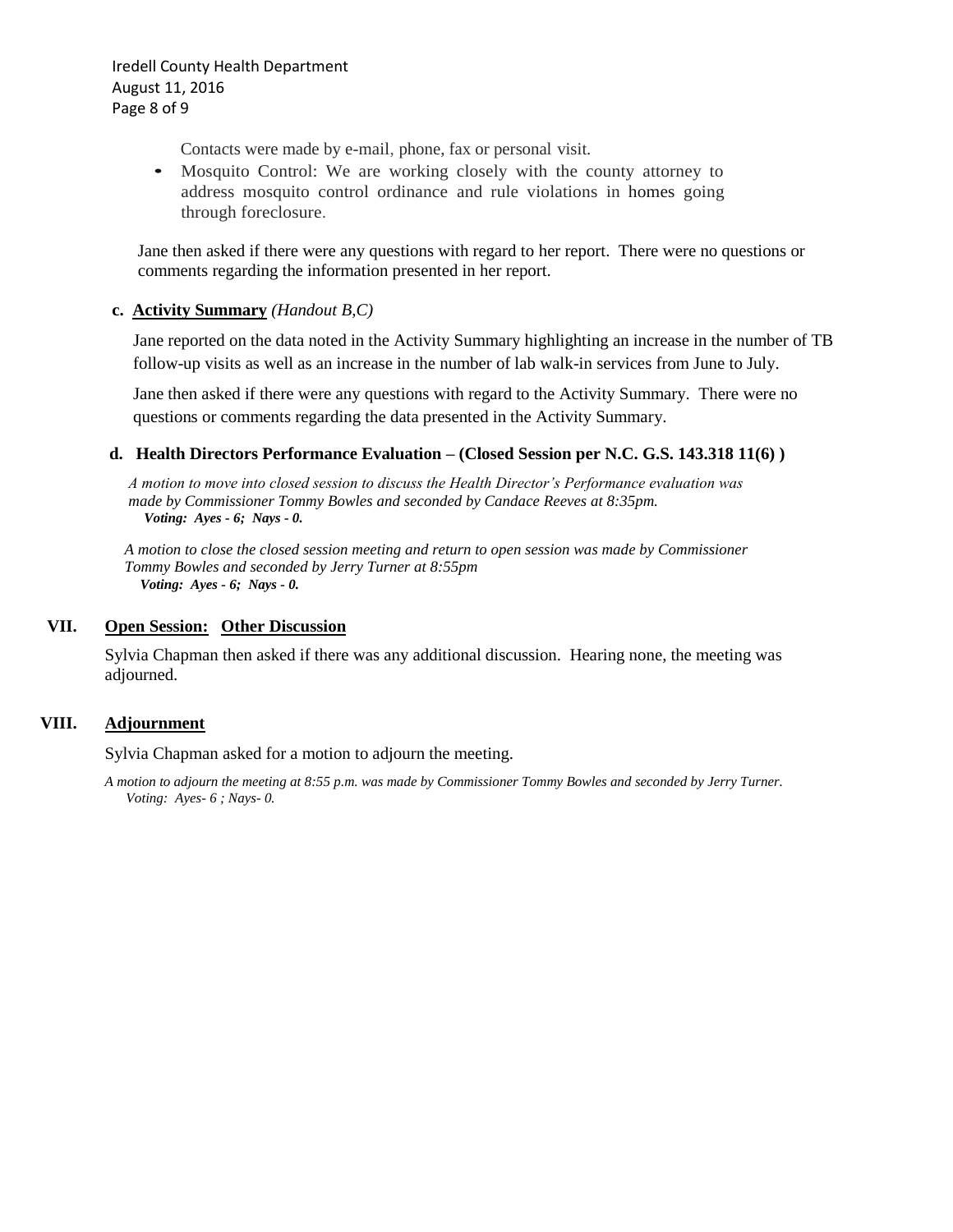Iredell County Health Department August 11, 2016 Page 8 of 9

Contacts were made by e-mail, phone, fax or personal visit.

• Mosquito Control: We are working closely with the county attorney to address mosquito control ordinance and rule violations in homes going through foreclosure.

 Jane then asked if there were any questions with regard to her report. There were no questions or comments regarding the information presented in her report.

#### **c. Activity Summary** *(Handout B,C)*

Jane reported on the data noted in the Activity Summary highlighting an increase in the number of TB follow-up visits as well as an increase in the number of lab walk-in services from June to July.

Jane then asked if there were any questions with regard to the Activity Summary. There were no questions or comments regarding the data presented in the Activity Summary.

#### **d. Health Directors Performance Evaluation – (Closed Session per N.C. G.S. 143.318 11(6) )**

 *A motion to move into closed session to discuss the Health Director's Performance evaluation was made by Commissioner Tommy Bowles and seconded by Candace Reeves at 8:35pm.**Voting: Ayes - 6; Nays - 0.*

*A motion to close the closed session meeting and return to open session was made by Commissioner Tommy Bowles and seconded by Jerry Turner at 8:55pm Voting: Ayes - 6; Nays - 0.*

#### **VII. Open Session: Other Discussion**

Sylvia Chapman then asked if there was any additional discussion. Hearing none, the meeting was adjourned.

#### **VIII. Adjournment**

Sylvia Chapman asked for a motion to adjourn the meeting.

*A motion to adjourn the meeting at 8:55 p.m. was made by Commissioner Tommy Bowles and seconded by Jerry Turner. Voting: Ayes- 6 ; Nays- 0.*